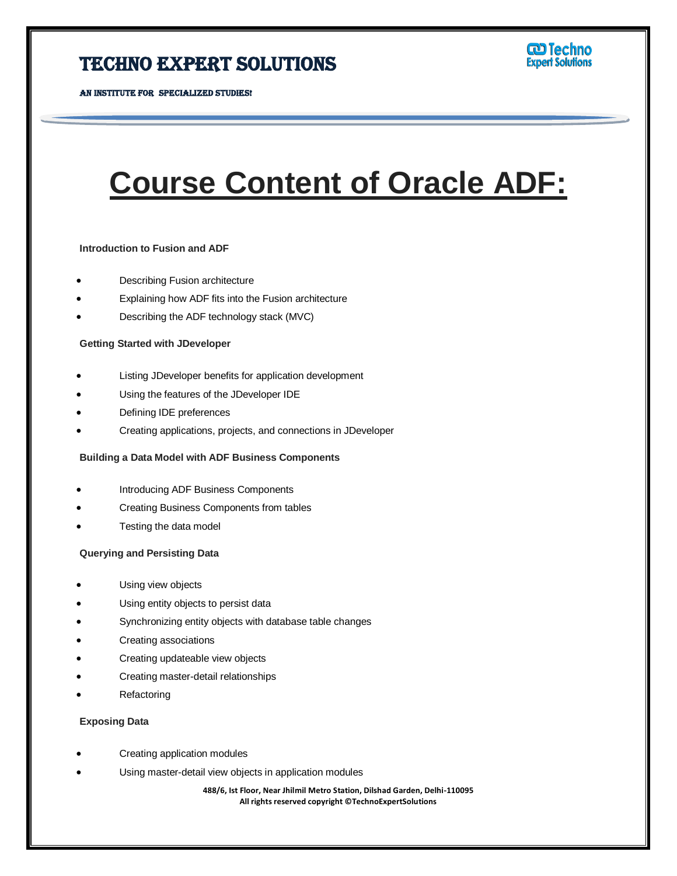# **Course Content of Oracle ADF:**

Ī

# **Introduction to Fusion and ADF**

- Describing Fusion architecture
- Explaining how ADF fits into the Fusion architecture
- Describing the ADF technology stack (MVC)

# **Getting Started with JDeveloper**

- Listing JDeveloper benefits for application development
- Using the features of the JDeveloper IDE
- Defining IDE preferences
- Creating applications, projects, and connections in JDeveloper

# **Building a Data Model with ADF Business Components**

- Introducing ADF Business Components
- Creating Business Components from tables
- Testing the data model

# **Querying and Persisting Data**

- Using view objects
- Using entity objects to persist data
- Synchronizing entity objects with database table changes
- Creating associations
- Creating updateable view objects
- Creating master-detail relationships
- Refactoring

# **Exposing Data**

- Creating application modules
- Using master-detail view objects in application modules

**488/6, Ist Floor, Near Jhilmil Metro Station, Dilshad Garden, Delhi-110095 All rights reserved copyright ©TechnoExpertSolutions**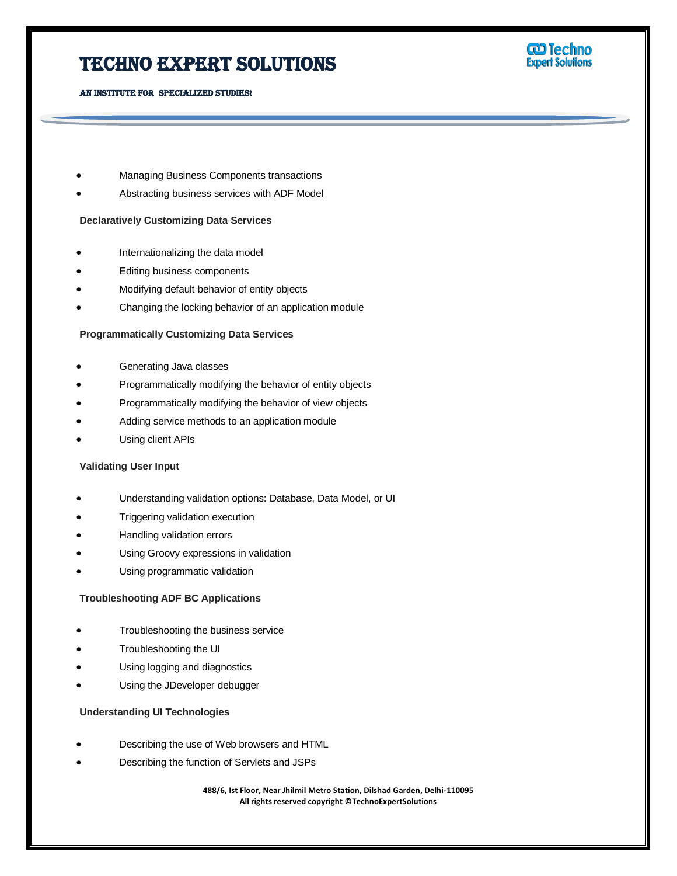

- Managing Business Components transactions
- Abstracting business services with ADF Model

# **Declaratively Customizing Data Services**

- Internationalizing the data model
- Editing business components
- Modifying default behavior of entity objects
- Changing the locking behavior of an application module

# **Programmatically Customizing Data Services**

- Generating Java classes
- Programmatically modifying the behavior of entity objects
- Programmatically modifying the behavior of view objects
- Adding service methods to an application module
- Using client APIs

#### **Validating User Input**

- Understanding validation options: Database, Data Model, or UI
- Triggering validation execution
- Handling validation errors
- Using Groovy expressions in validation
- Using programmatic validation

# **Troubleshooting ADF BC Applications**

- Troubleshooting the business service
- Troubleshooting the UI
- Using logging and diagnostics
- Using the JDeveloper debugger

#### **Understanding UI Technologies**

- Describing the use of Web browsers and HTML
- Describing the function of Servlets and JSPs

**488/6, Ist Floor, Near Jhilmil Metro Station, Dilshad Garden, Delhi-110095 All rights reserved copyright ©TechnoExpertSolutions**

Ī

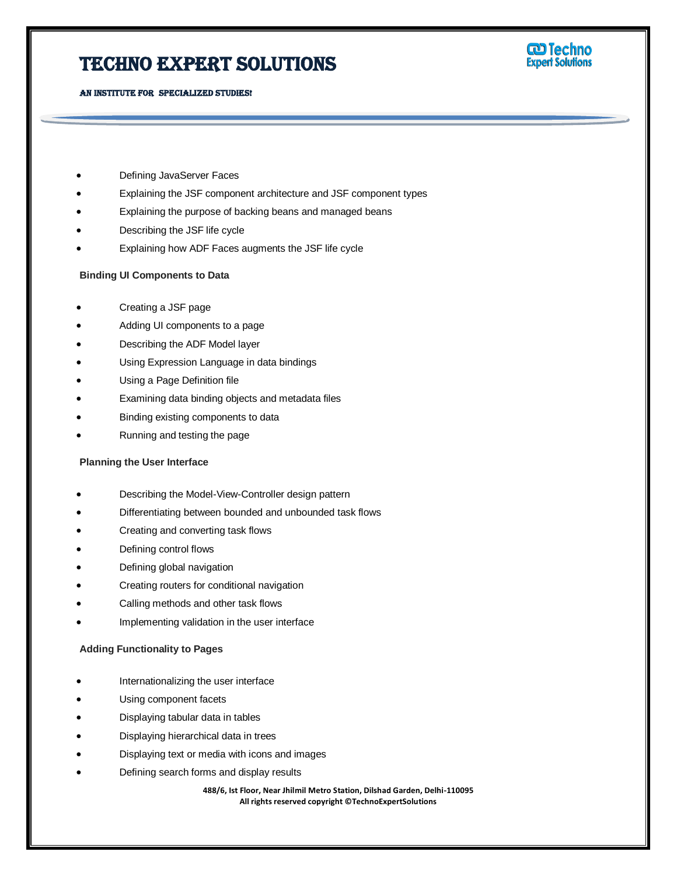

**co Techno**<br>Expert Solutions

Ī

#### AN INSTITUTE FOR SPECIALIZED STUDIES!

- Defining JavaServer Faces
- Explaining the JSF component architecture and JSF component types
- Explaining the purpose of backing beans and managed beans
- Describing the JSF life cycle
- Explaining how ADF Faces augments the JSF life cycle

# **Binding UI Components to Data**

- Creating a JSF page
- Adding UI components to a page
- Describing the ADF Model layer
- Using Expression Language in data bindings
- Using a Page Definition file
- Examining data binding objects and metadata files
- Binding existing components to data
- Running and testing the page

# **Planning the User Interface**

- Describing the Model-View-Controller design pattern
- Differentiating between bounded and unbounded task flows
- Creating and converting task flows
- Defining control flows
- Defining global navigation
- Creating routers for conditional navigation
- Calling methods and other task flows
- Implementing validation in the user interface

# **Adding Functionality to Pages**

- Internationalizing the user interface
- Using component facets
- Displaying tabular data in tables
- Displaying hierarchical data in trees
- Displaying text or media with icons and images
- Defining search forms and display results

**488/6, Ist Floor, Near Jhilmil Metro Station, Dilshad Garden, Delhi-110095 All rights reserved copyright ©TechnoExpertSolutions**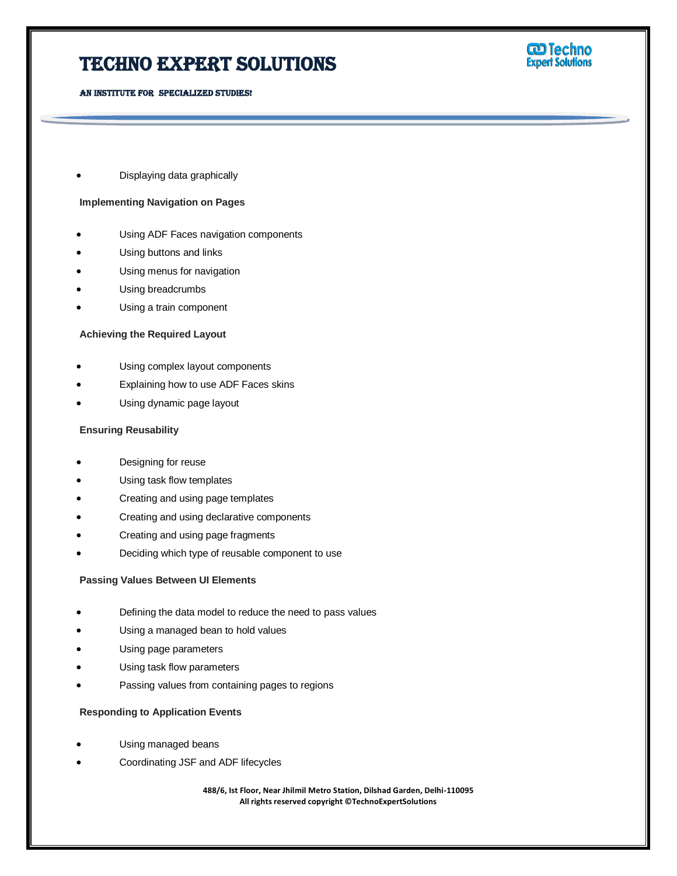

Displaying data graphically

# **Implementing Navigation on Pages**

- Using ADF Faces navigation components
- Using buttons and links
- Using menus for navigation
- Using breadcrumbs
- Using a train component

# **Achieving the Required Layout**

- Using complex layout components
- Explaining how to use ADF Faces skins
- Using dynamic page layout

# **Ensuring Reusability**

- Designing for reuse
- Using task flow templates
- Creating and using page templates
- Creating and using declarative components
- Creating and using page fragments
- Deciding which type of reusable component to use

# **Passing Values Between UI Elements**

- Defining the data model to reduce the need to pass values
- Using a managed bean to hold values
- Using page parameters
- Using task flow parameters
- Passing values from containing pages to regions

# **Responding to Application Events**

- Using managed beans
- Coordinating JSF and ADF lifecycles

**488/6, Ist Floor, Near Jhilmil Metro Station, Dilshad Garden, Delhi-110095 All rights reserved copyright ©TechnoExpertSolutions**

Ī